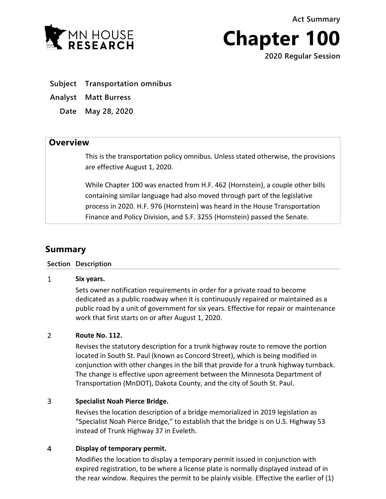**Act Summary**



**Chapter 100**

**2020 Regular Session**

- **Subject Transportation omnibus**
- **Analyst Matt Burress**

**Date May 28, 2020**

# **Overview**

This is the transportation policy omnibus. Unless stated otherwise, the provisions are effective August 1, 2020.

While Chapter 100 was enacted from H.F. 462 (Hornstein), a couple other bills containing similar language had also moved through part of the legislative process in 2020. H.F. 976 (Hornstein) was heard in the House Transportation Finance and Policy Division, and S.F. 3255 (Hornstein) passed the Senate.

# **Summary**

## **Section Description**

#### $\mathbf{1}$ **Six years.**

Sets owner notification requirements in order for a private road to become dedicated as a public roadway when it is continuously repaired or maintained as a public road by a unit of government for six years. Effective for repair or maintenance work that first starts on or after August 1, 2020.

#### $\overline{2}$ **Route No. 112.**

Revises the statutory description for a trunk highway route to remove the portion located in South St. Paul (known as Concord Street), which is being modified in conjunction with other changes in the bill that provide for a trunk highway turnback. The change is effective upon agreement between the Minnesota Department of Transportation (MnDOT), Dakota County, and the city of South St. Paul.

#### 3 **Specialist Noah Pierce Bridge.**

Revises the location description of a bridge memorialized in 2019 legislation as "Specialist Noah Pierce Bridge," to establish that the bridge is on U.S. Highway 53 instead of Trunk Highway 37 in Eveleth.

#### $\overline{4}$ **Display of temporary permit.**

Modifies the location to display a temporary permit issued in conjunction with expired registration, to be where a license plate is normally displayed instead of in the rear window. Requires the permit to be plainly visible. Effective the earlier of (1)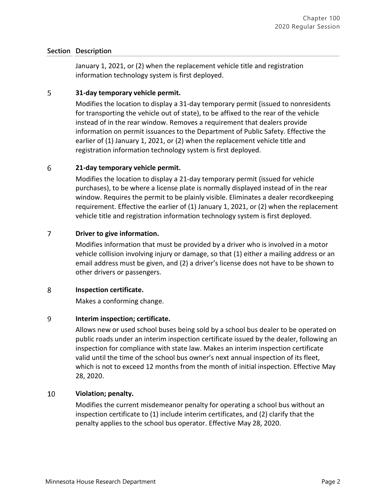January 1, 2021, or (2) when the replacement vehicle title and registration information technology system is first deployed.

#### 5 **31-day temporary vehicle permit.**

Modifies the location to display a 31-day temporary permit (issued to nonresidents for transporting the vehicle out of state), to be affixed to the rear of the vehicle instead of in the rear window. Removes a requirement that dealers provide information on permit issuances to the Department of Public Safety. Effective the earlier of (1) January 1, 2021, or (2) when the replacement vehicle title and registration information technology system is first deployed.

#### 6 **21-day temporary vehicle permit.**

Modifies the location to display a 21-day temporary permit (issued for vehicle purchases), to be where a license plate is normally displayed instead of in the rear window. Requires the permit to be plainly visible. Eliminates a dealer recordkeeping requirement. Effective the earlier of (1) January 1, 2021, or (2) when the replacement vehicle title and registration information technology system is first deployed.

#### $\overline{7}$ **Driver to give information.**

Modifies information that must be provided by a driver who is involved in a motor vehicle collision involving injury or damage, so that (1) either a mailing address or an email address must be given, and (2) a driver's license does not have to be shown to other drivers or passengers.

#### 8 **Inspection certificate.**

Makes a conforming change.

#### 9 **Interim inspection; certificate.**

Allows new or used school buses being sold by a school bus dealer to be operated on public roads under an interim inspection certificate issued by the dealer, following an inspection for compliance with state law. Makes an interim inspection certificate valid until the time of the school bus owner's next annual inspection of its fleet, which is not to exceed 12 months from the month of initial inspection. Effective May 28, 2020.

#### 10 **Violation; penalty.**

Modifies the current misdemeanor penalty for operating a school bus without an inspection certificate to (1) include interim certificates, and (2) clarify that the penalty applies to the school bus operator. Effective May 28, 2020.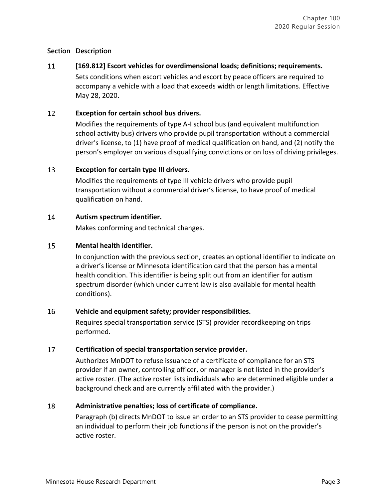#### 11 **[169.812] Escort vehicles for overdimensional loads; definitions; requirements.**

Sets conditions when escort vehicles and escort by peace officers are required to accompany a vehicle with a load that exceeds width or length limitations. Effective May 28, 2020.

#### 12 **Exception for certain school bus drivers.**

Modifies the requirements of type A-I school bus (and equivalent multifunction school activity bus) drivers who provide pupil transportation without a commercial driver's license, to (1) have proof of medical qualification on hand, and (2) notify the person's employer on various disqualifying convictions or on loss of driving privileges.

#### 13 **Exception for certain type III drivers.**

Modifies the requirements of type III vehicle drivers who provide pupil transportation without a commercial driver's license, to have proof of medical qualification on hand.

#### 14 **Autism spectrum identifier.**

Makes conforming and technical changes.

#### 15 **Mental health identifier.**

In conjunction with the previous section, creates an optional identifier to indicate on a driver's license or Minnesota identification card that the person has a mental health condition. This identifier is being split out from an identifier for autism spectrum disorder (which under current law is also available for mental health conditions).

#### 16 **Vehicle and equipment safety; provider responsibilities.**

Requires special transportation service (STS) provider recordkeeping on trips performed.

#### 17 **Certification of special transportation service provider.**

Authorizes MnDOT to refuse issuance of a certificate of compliance for an STS provider if an owner, controlling officer, or manager is not listed in the provider's active roster. (The active roster lists individuals who are determined eligible under a background check and are currently affiliated with the provider.)

#### 18 **Administrative penalties; loss of certificate of compliance.**

Paragraph (b) directs MnDOT to issue an order to an STS provider to cease permitting an individual to perform their job functions if the person is not on the provider's active roster.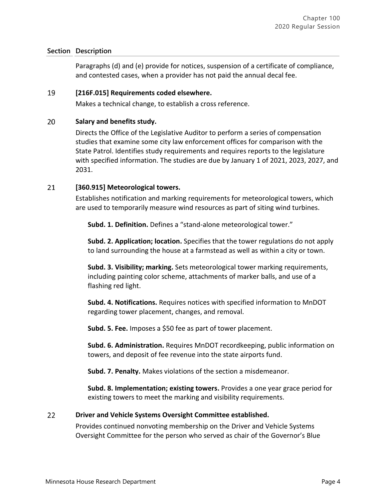Paragraphs (d) and (e) provide for notices, suspension of a certificate of compliance, and contested cases, when a provider has not paid the annual decal fee.

#### 19 **[216F.015] Requirements coded elsewhere.**

Makes a technical change, to establish a cross reference.

#### 20 **Salary and benefits study.**

Directs the Office of the Legislative Auditor to perform a series of compensation studies that examine some city law enforcement offices for comparison with the State Patrol. Identifies study requirements and requires reports to the legislature with specified information. The studies are due by January 1 of 2021, 2023, 2027, and 2031.

#### 21 **[360.915] Meteorological towers.**

Establishes notification and marking requirements for meteorological towers, which are used to temporarily measure wind resources as part of siting wind turbines.

**Subd. 1. Definition.** Defines a "stand-alone meteorological tower."

**Subd. 2. Application; location.** Specifies that the tower regulations do not apply to land surrounding the house at a farmstead as well as within a city or town.

**Subd. 3. Visibility; marking.** Sets meteorological tower marking requirements, including painting color scheme, attachments of marker balls, and use of a flashing red light.

**Subd. 4. Notifications.** Requires notices with specified information to MnDOT regarding tower placement, changes, and removal.

**Subd. 5. Fee.** Imposes a \$50 fee as part of tower placement.

**Subd. 6. Administration.** Requires MnDOT recordkeeping, public information on towers, and deposit of fee revenue into the state airports fund.

**Subd. 7. Penalty.** Makes violations of the section a misdemeanor.

**Subd. 8. Implementation; existing towers.** Provides a one year grace period for existing towers to meet the marking and visibility requirements.

#### 22 **Driver and Vehicle Systems Oversight Committee established.**

Provides continued nonvoting membership on the Driver and Vehicle Systems Oversight Committee for the person who served as chair of the Governor's Blue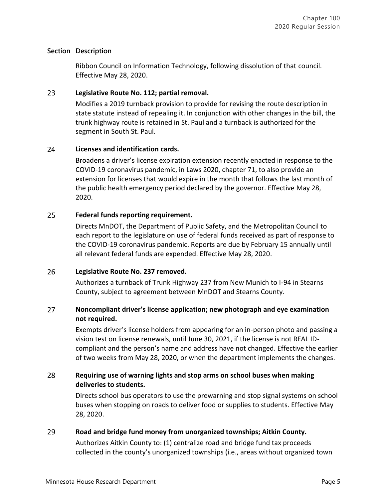Ribbon Council on Information Technology, following dissolution of that council. Effective May 28, 2020.

#### 23 **Legislative Route No. 112; partial removal.**

Modifies a 2019 turnback provision to provide for revising the route description in state statute instead of repealing it. In conjunction with other changes in the bill, the trunk highway route is retained in St. Paul and a turnback is authorized for the segment in South St. Paul.

#### 24 **Licenses and identification cards.**

Broadens a driver's license expiration extension recently enacted in response to the COVID-19 coronavirus pandemic, in Laws 2020, chapter 71, to also provide an extension for licenses that would expire in the month that follows the last month of the public health emergency period declared by the governor. Effective May 28, 2020.

#### 25 **Federal funds reporting requirement.**

Directs MnDOT, the Department of Public Safety, and the Metropolitan Council to each report to the legislature on use of federal funds received as part of response to the COVID-19 coronavirus pandemic. Reports are due by February 15 annually until all relevant federal funds are expended. Effective May 28, 2020.

#### 26 **Legislative Route No. 237 removed.**

Authorizes a turnback of Trunk Highway 237 from New Munich to I-94 in Stearns County, subject to agreement between MnDOT and Stearns County.

### $27$ **Noncompliant driver's license application; new photograph and eye examination not required.**

Exempts driver's license holders from appearing for an in-person photo and passing a vision test on license renewals, until June 30, 2021, if the license is not REAL IDcompliant and the person's name and address have not changed. Effective the earlier of two weeks from May 28, 2020, or when the department implements the changes.

### 28 **Requiring use of warning lights and stop arms on school buses when making deliveries to students.**

Directs school bus operators to use the prewarning and stop signal systems on school buses when stopping on roads to deliver food or supplies to students. Effective May 28, 2020.

#### 29 **Road and bridge fund money from unorganized townships; Aitkin County.**

Authorizes Aitkin County to: (1) centralize road and bridge fund tax proceeds collected in the county's unorganized townships (i.e., areas without organized town